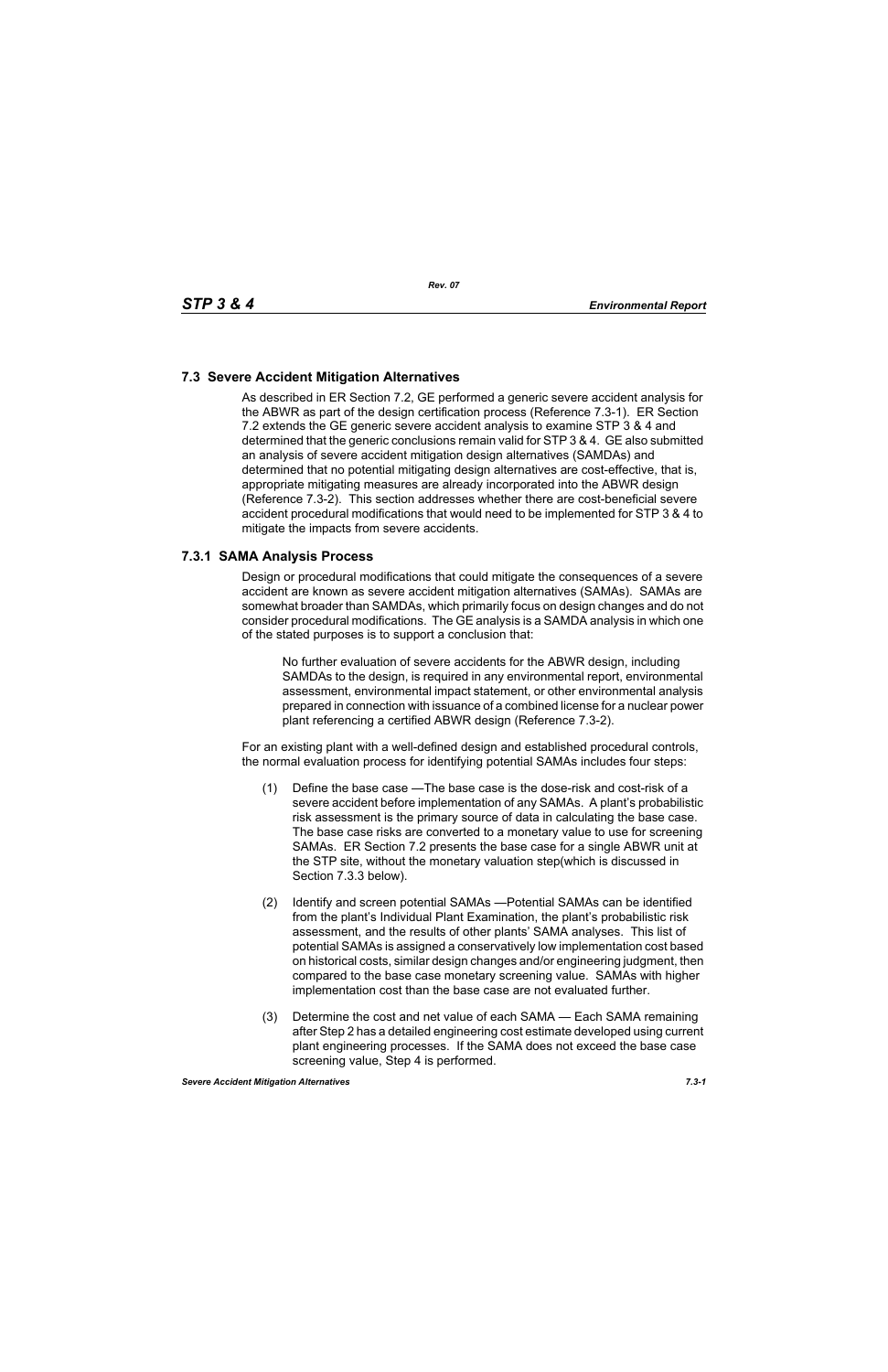# **7.3 Severe Accident Mitigation Alternatives**

As described in ER Section 7.2, GE performed a generic severe accident analysis for the ABWR as part of the design certification process (Reference 7.3-1). ER Section 7.2 extends the GE generic severe accident analysis to examine STP 3 & 4 and determined that the generic conclusions remain valid for STP 3 & 4. GE also submitted an analysis of severe accident mitigation design alternatives (SAMDAs) and determined that no potential mitigating design alternatives are cost-effective, that is, appropriate mitigating measures are already incorporated into the ABWR design (Reference 7.3-2). This section addresses whether there are cost-beneficial severe accident procedural modifications that would need to be implemented for STP 3 & 4 to mitigate the impacts from severe accidents.

#### **7.3.1 SAMA Analysis Process**

Design or procedural modifications that could mitigate the consequences of a severe accident are known as severe accident mitigation alternatives (SAMAs). SAMAs are somewhat broader than SAMDAs, which primarily focus on design changes and do not consider procedural modifications. The GE analysis is a SAMDA analysis in which one of the stated purposes is to support a conclusion that:

No further evaluation of severe accidents for the ABWR design, including SAMDAs to the design, is required in any environmental report, environmental assessment, environmental impact statement, or other environmental analysis prepared in connection with issuance of a combined license for a nuclear power plant referencing a certified ABWR design (Reference 7.3-2).

For an existing plant with a well-defined design and established procedural controls, the normal evaluation process for identifying potential SAMAs includes four steps:

- (1) Define the base case —The base case is the dose-risk and cost-risk of a severe accident before implementation of any SAMAs. A plant's probabilistic risk assessment is the primary source of data in calculating the base case. The base case risks are converted to a monetary value to use for screening SAMAs. ER Section 7.2 presents the base case for a single ABWR unit at the STP site, without the monetary valuation step(which is discussed in Section 7.3.3 below).
- (2) Identify and screen potential SAMAs —Potential SAMAs can be identified from the plant's Individual Plant Examination, the plant's probabilistic risk assessment, and the results of other plants' SAMA analyses. This list of potential SAMAs is assigned a conservatively low implementation cost based on historical costs, similar design changes and/or engineering judgment, then compared to the base case monetary screening value. SAMAs with higher implementation cost than the base case are not evaluated further.
- (3) Determine the cost and net value of each SAMA Each SAMA remaining after Step 2 has a detailed engineering cost estimate developed using current plant engineering processes. If the SAMA does not exceed the base case screening value, Step 4 is performed.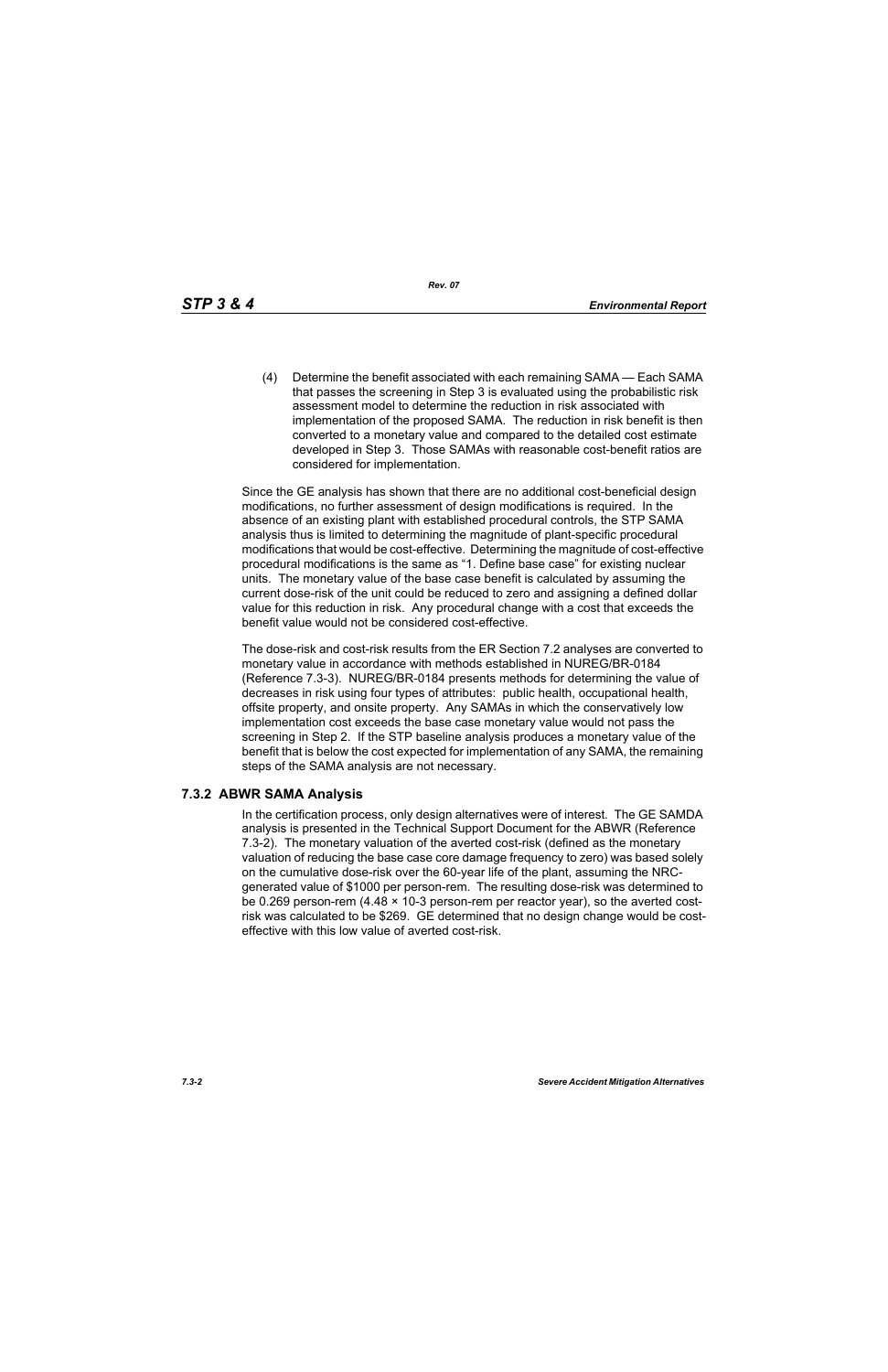*Rev. 07*

(4) Determine the benefit associated with each remaining SAMA — Each SAMA that passes the screening in Step 3 is evaluated using the probabilistic risk assessment model to determine the reduction in risk associated with implementation of the proposed SAMA. The reduction in risk benefit is then converted to a monetary value and compared to the detailed cost estimate developed in Step 3. Those SAMAs with reasonable cost-benefit ratios are considered for implementation.

Since the GE analysis has shown that there are no additional cost-beneficial design modifications, no further assessment of design modifications is required. In the absence of an existing plant with established procedural controls, the STP SAMA analysis thus is limited to determining the magnitude of plant-specific procedural modifications that would be cost-effective. Determining the magnitude of cost-effective procedural modifications is the same as "1. Define base case" for existing nuclear units. The monetary value of the base case benefit is calculated by assuming the current dose-risk of the unit could be reduced to zero and assigning a defined dollar value for this reduction in risk. Any procedural change with a cost that exceeds the benefit value would not be considered cost-effective.

The dose-risk and cost-risk results from the ER Section 7.2 analyses are converted to monetary value in accordance with methods established in NUREG/BR-0184 (Reference 7.3-3). NUREG/BR-0184 presents methods for determining the value of decreases in risk using four types of attributes: public health, occupational health, offsite property, and onsite property. Any SAMAs in which the conservatively low implementation cost exceeds the base case monetary value would not pass the screening in Step 2. If the STP baseline analysis produces a monetary value of the benefit that is below the cost expected for implementation of any SAMA, the remaining steps of the SAMA analysis are not necessary.

### **7.3.2 ABWR SAMA Analysis**

In the certification process, only design alternatives were of interest. The GE SAMDA analysis is presented in the Technical Support Document for the ABWR (Reference 7.3-2). The monetary valuation of the averted cost-risk (defined as the monetary valuation of reducing the base case core damage frequency to zero) was based solely on the cumulative dose-risk over the 60-year life of the plant, assuming the NRCgenerated value of \$1000 per person-rem. The resulting dose-risk was determined to be 0.269 person-rem (4.48 × 10-3 person-rem per reactor year), so the averted costrisk was calculated to be \$269. GE determined that no design change would be costeffective with this low value of averted cost-risk.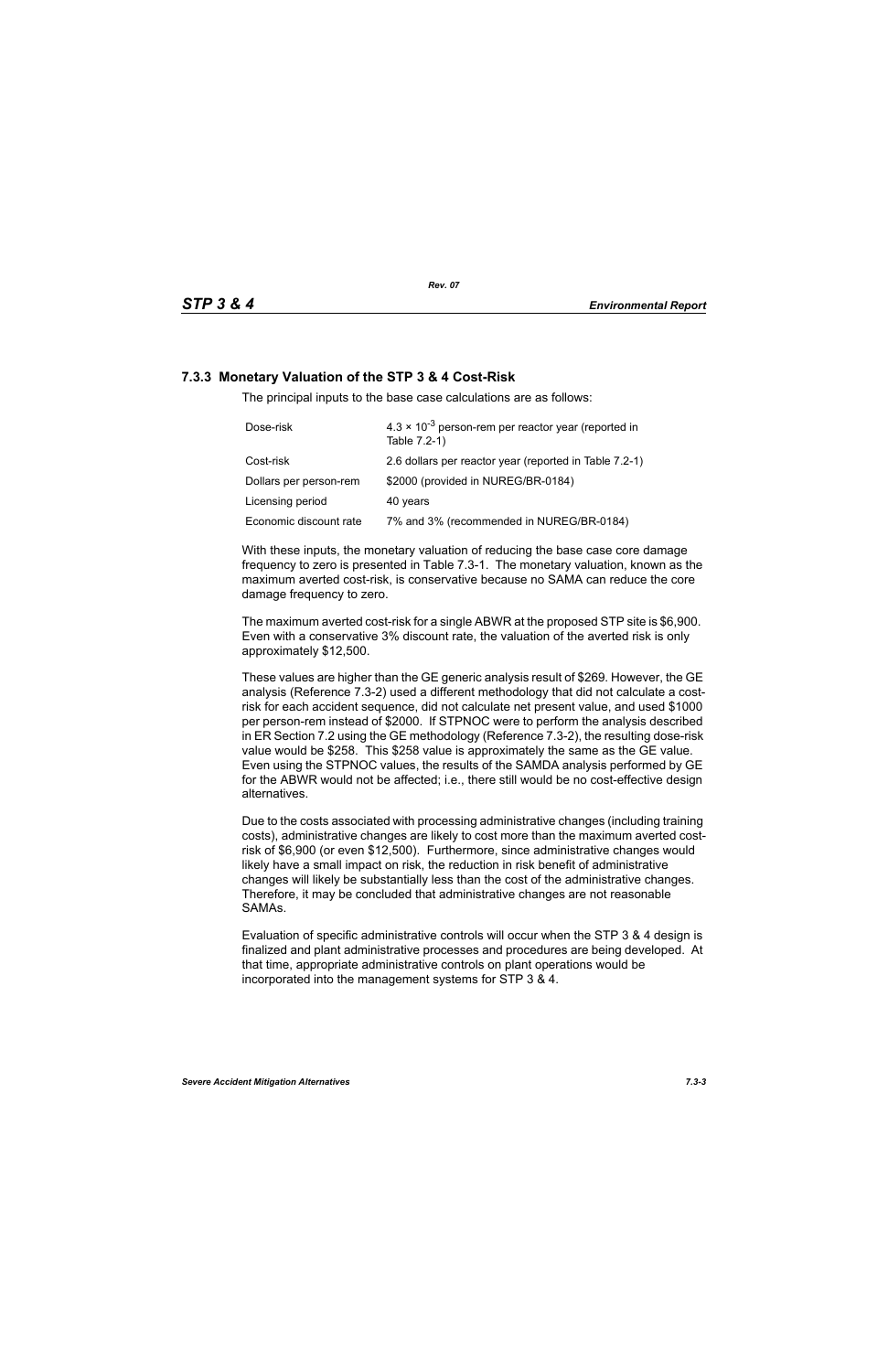# **7.3.3 Monetary Valuation of the STP 3 & 4 Cost-Risk**

The principal inputs to the base case calculations are as follows:

| Dose-risk              | $4.3 \times 10^{-3}$ person-rem per reactor year (reported in<br>Table 7.2-1) |
|------------------------|-------------------------------------------------------------------------------|
| Cost-risk              | 2.6 dollars per reactor year (reported in Table 7.2-1)                        |
| Dollars per person-rem | \$2000 (provided in NUREG/BR-0184)                                            |
| Licensing period       | 40 years                                                                      |
| Economic discount rate | 7% and 3% (recommended in NUREG/BR-0184)                                      |

With these inputs, the monetary valuation of reducing the base case core damage frequency to zero is presented in Table 7.3-1. The monetary valuation, known as the maximum averted cost-risk, is conservative because no SAMA can reduce the core damage frequency to zero.

The maximum averted cost-risk for a single ABWR at the proposed STP site is \$6,900. Even with a conservative 3% discount rate, the valuation of the averted risk is only approximately \$12,500.

These values are higher than the GE generic analysis result of \$269. However, the GE analysis (Reference 7.3-2) used a different methodology that did not calculate a costrisk for each accident sequence, did not calculate net present value, and used \$1000 per person-rem instead of \$2000. If STPNOC were to perform the analysis described in ER Section 7.2 using the GE methodology (Reference 7.3-2), the resulting dose-risk value would be \$258. This \$258 value is approximately the same as the GE value. Even using the STPNOC values, the results of the SAMDA analysis performed by GE for the ABWR would not be affected; i.e., there still would be no cost-effective design alternatives.

Due to the costs associated with processing administrative changes (including training costs), administrative changes are likely to cost more than the maximum averted costrisk of \$6,900 (or even \$12,500). Furthermore, since administrative changes would likely have a small impact on risk, the reduction in risk benefit of administrative changes will likely be substantially less than the cost of the administrative changes. Therefore, it may be concluded that administrative changes are not reasonable SAMAs.

Evaluation of specific administrative controls will occur when the STP 3 & 4 design is finalized and plant administrative processes and procedures are being developed. At that time, appropriate administrative controls on plant operations would be incorporated into the management systems for STP 3 & 4.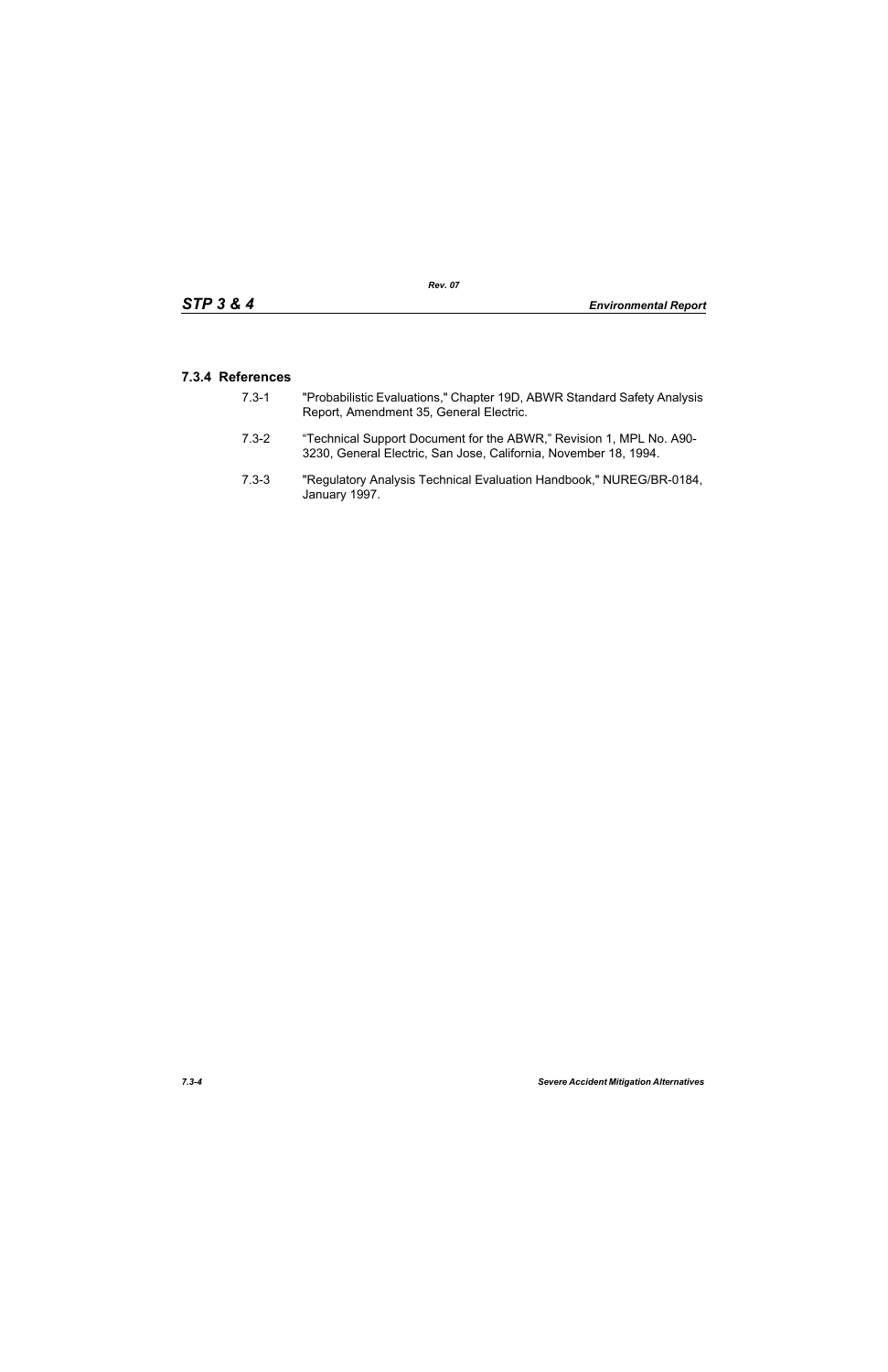### **7.3.4 References**

- 7.3-1 "Probabilistic Evaluations," Chapter 19D, ABWR Standard Safety Analysis Report, Amendment 35, General Electric.
- 7.3-2 "Technical Support Document for the ABWR," Revision 1, MPL No. A90- 3230, General Electric, San Jose, California, November 18, 1994.
- 7.3-3 "Regulatory Analysis Technical Evaluation Handbook," NUREG/BR-0184, January 1997.